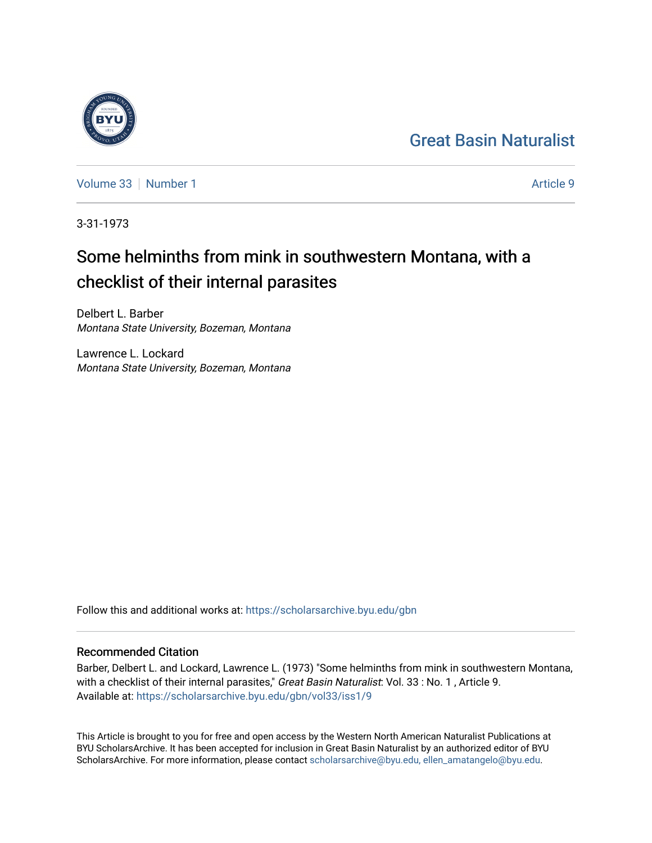## [Great Basin Naturalist](https://scholarsarchive.byu.edu/gbn)

[Volume 33](https://scholarsarchive.byu.edu/gbn/vol33) [Number 1](https://scholarsarchive.byu.edu/gbn/vol33/iss1) Article 9

3-31-1973

# Some helminths from mink in southwestern Montana, with a checklist of their internal parasites

Delbert L. Barber Montana State University, Bozeman, Montana

Lawrence L. Lockard Montana State University, Bozeman, Montana

Follow this and additional works at: [https://scholarsarchive.byu.edu/gbn](https://scholarsarchive.byu.edu/gbn?utm_source=scholarsarchive.byu.edu%2Fgbn%2Fvol33%2Fiss1%2F9&utm_medium=PDF&utm_campaign=PDFCoverPages) 

## Recommended Citation

Barber, Delbert L. and Lockard, Lawrence L. (1973) "Some helminths from mink in southwestern Montana, with a checklist of their internal parasites," Great Basin Naturalist: Vol. 33 : No. 1, Article 9. Available at: [https://scholarsarchive.byu.edu/gbn/vol33/iss1/9](https://scholarsarchive.byu.edu/gbn/vol33/iss1/9?utm_source=scholarsarchive.byu.edu%2Fgbn%2Fvol33%2Fiss1%2F9&utm_medium=PDF&utm_campaign=PDFCoverPages)

This Article is brought to you for free and open access by the Western North American Naturalist Publications at BYU ScholarsArchive. It has been accepted for inclusion in Great Basin Naturalist by an authorized editor of BYU ScholarsArchive. For more information, please contact [scholarsarchive@byu.edu, ellen\\_amatangelo@byu.edu.](mailto:scholarsarchive@byu.edu,%20ellen_amatangelo@byu.edu)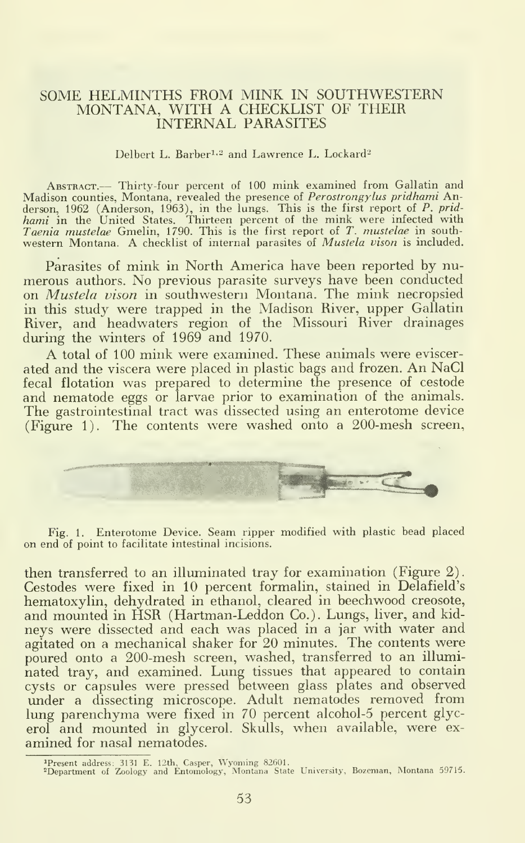#### SOME HELMINTHS FROM MINK IN SOUTHWESTERN MONTANA, WITH A CHECKLIST OF THEIR INTERNAL PARASITES

#### Delbert L. Barber<sup>1,2</sup> and Lawrence L. Lockard<sup>2</sup>

ABSTRACT.— Thirty-four percent of 100 mink examined from Gallatin and<br>Madison counties, Montana, revealed the presence of *Perostrongylus pridhami* Anderson, 1962 (Anderson, 1963), in the lungs. This is the first report of *P. prid-*<br>hami in the United States. Thirteen percent of the mink were infected with<br>Taenia mustelae Gmelin, 1790. This is the first report of *T. m* 

Parasites of mink in North America have been reported by nu merous authors. No previous parasite surveys have been conducted on *Mustela vison* in southwestern Montana. The mink necropsied in this study were trapped in the Madison River, upper Gallatin River, and headwaters region of the Missouri River drainages during the winters of 1969 and 1970.

A total of <sup>100</sup> mink were examined. These animals were eviscerated and the viscera were placed in plastic bags and frozen. An NaCl fecal flotation was prepared to determine the presence of cestode and nematode eggs or larvae prior to examination of the animals. The gastrointestinal tract was dissected using an enterotome device (Figure 1). The contents were washed onto a 200-mesh screen.



Fig. 1. Enterotome Device. Seam ripper modified with plastic bead placed on end of point to facilitate intestinal incisions.

then transferred to an illuminated tray for examination (Figure 2). Cestodes were fixed in 10 percent formalin, stained in Delafield's hematoxylin, dehydrated in ethanol, cleared in beechwood creosote, and mounted in HSR (Hartman-Leddon Co.). Lungs, liver, and kidneys were dissected and each was placed in a jar with water and agitated on a mechanical shaker for 20 minutes. The contents were poured onto a 200-mesh screen, washed, transferred to an illuminated tray, and examined. Lung tissues that appeared to contain cysts or capsules were pressed between glass plates and observed under a dissecting microscope. Adult nematodes removed from lung parenchyma were fixed in 70 percent alcohol-5 percent glycerol and mounted in glycerol. Skulls, when available, were examined for nasal nematodes.

<sup>&</sup>lt;sup>1</sup>Present address; 3131 E. 12th, Casper, Wyoming 82601.<br><sup>2</sup>Department of Zoology and Entomology, Montana State University, Bozeman, Montana 59715.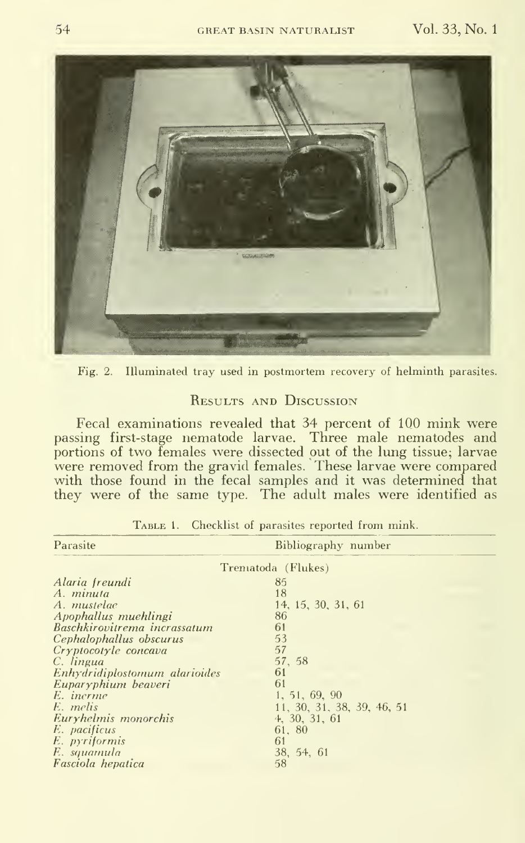

Fig. 2. Illuminated tray used in postmortem recovery of helminth parasites.

### RESULTS AND DISCUSSION

Fecal examinations revealed that 34 percent of 100 mink were<br>passing first-stage nematode larvae. Three male nematodes and<br>portions of two females were dissected out of the lung tissue; larvae were removed from the gravid females. These larvae were compared<br>with those found in the fecal samples and it was determined that they were of the same type. The adult males were identified as

| Parasite                      | Bibliography number        |  |
|-------------------------------|----------------------------|--|
| Trematoda (Flukes)            |                            |  |
| Alaria freundi                | 85                         |  |
| A. minuta                     | 18                         |  |
| A. mustelae                   | 14, 15, 30, 31, 61         |  |
| Apophallus muehlingi          | 86                         |  |
| Baschkirovitrema incrassatum  | 61                         |  |
| Cephalophallus obscurus       | 53                         |  |
| Cryptocotyle concava          | 57                         |  |
| C. lingua                     | 57, 58                     |  |
| Enhydridiplostomum alarioides | 61                         |  |
| Euparyphium beaveri           | 61                         |  |
| E. inerme                     | 1, 51, 69, 90              |  |
| E. melis                      | 11, 30, 31, 38, 39, 46, 51 |  |
| Euryhelmis monorchis          | 4, 30, 31, 61              |  |
| E. pacificus                  | 61.80                      |  |
| E. pyriformis                 | 61                         |  |
| E. squamula                   | 38, 54, 61                 |  |
| Fasciola hepatica             | 58                         |  |

TABLE 1. Checklist of parasites reported from mink.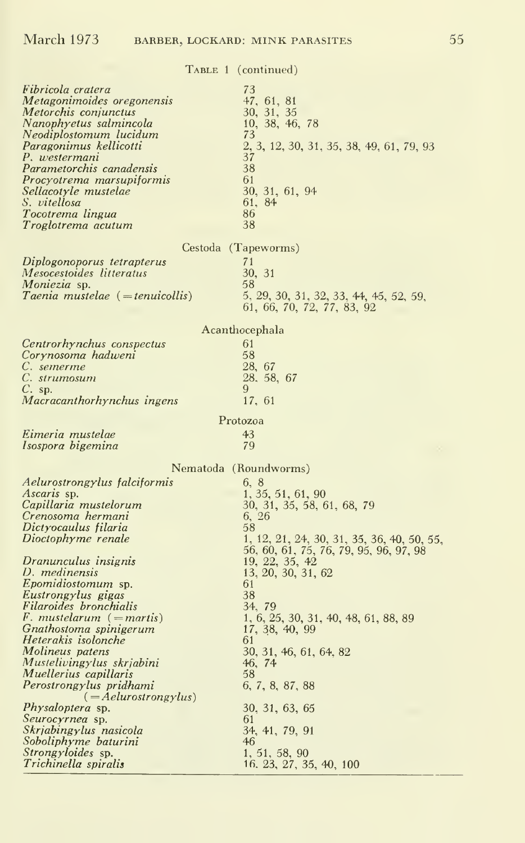|                                                                                                                                                                                                                                                                                                                   | TABLE 1 (continued)                                                                                                                                          |  |
|-------------------------------------------------------------------------------------------------------------------------------------------------------------------------------------------------------------------------------------------------------------------------------------------------------------------|--------------------------------------------------------------------------------------------------------------------------------------------------------------|--|
| Fibricola cratera<br>Metagonimoides oregonensis<br>Metorchis conjunctus<br>Nanophyetus salmincola<br>Neodiplostomum lucidum<br>Paragonimus kellicotti<br>P. westermani<br>Parametorchis canadensis<br>Procyotrema marsupiformis<br>Sellacotyle mustelae<br>S. vitellosa<br>Tocotrema lingua<br>Troglotrema acutum | 73<br>47, 61, 81<br>30, 31, 35<br>10, 38, 46, 78<br>73<br>2, 3, 12, 30, 31, 35, 38, 49, 61, 79, 93<br>37<br>38<br>61<br>30, 31, 61, 94<br>61, 84<br>86<br>38 |  |
|                                                                                                                                                                                                                                                                                                                   |                                                                                                                                                              |  |
| Diplogonoporus tetrapterus<br>Mesocestoides litteratus<br>Moniezia sp.<br>Taenia mustelae (= tenuicollis)                                                                                                                                                                                                         | Cestoda (Tapeworms)<br>71<br>30, 31<br>58<br>5, 29, 30, 31, 32, 33, 44, 45, 52, 59,<br>61, 66, 70, 72, 77, 83, 92                                            |  |
| Acanthocephala                                                                                                                                                                                                                                                                                                    |                                                                                                                                                              |  |
| Centrorhynchus conspectus<br>Corynosoma hadweni<br>C. semerme<br>C. strumosum<br>$C.$ sp.<br>Macracanthorhynchus ingens                                                                                                                                                                                           | 61<br>58<br>28, 67<br>28, 58, 67<br>9<br>17, 61                                                                                                              |  |
| Protozoa                                                                                                                                                                                                                                                                                                          |                                                                                                                                                              |  |
|                                                                                                                                                                                                                                                                                                                   |                                                                                                                                                              |  |
| Eimeria mustelae<br>Isospora bigemina                                                                                                                                                                                                                                                                             | 43<br>79                                                                                                                                                     |  |
|                                                                                                                                                                                                                                                                                                                   |                                                                                                                                                              |  |
|                                                                                                                                                                                                                                                                                                                   | Nematoda (Roundworms)                                                                                                                                        |  |
| Aelurostrongylus falciformis<br>Ascaris sp.<br>Capillaria mustelorum<br>Crenosoma hermani<br>Dictyocaulus filaria<br>Dioctophyme renale                                                                                                                                                                           | 6, 8<br>1, 35, 51, 61, 90<br>30, 31, 35, 58, 61, 68, 79<br>6, 26<br>58<br>1, 12, 21, 24, 30, 31, 35, 36, 40, 50, 55,                                         |  |
| Dranunculus insignis<br>D. medinensis<br><i>Epomidiostomum</i> sp.<br>Eustrongylus gigas<br>Filaroides bronchialis                                                                                                                                                                                                | 56, 60, 61, 75, 76, 79, 95, 96, 97, 98<br>19, 22, 35, 42<br>13, 20, 30, 31, 62<br>61<br>38<br>34, 79                                                         |  |
| F. mustelarum (= martis)<br>Gnathostoma spinigerum<br>Heterakis isolonche<br>Molineus patens<br>Mustelivingylus skriabini<br>Muellerius capillaris                                                                                                                                                                | 1, 6, 25, 30, 31, 40, 48, 61, 88, 89<br>17, 38, 40, 99<br>61<br>30, 31, 46, 61, 64, 82<br>46, 74<br>58                                                       |  |
| Perostrongylus pridhami<br>$( = A$ elurostrongylus)<br><i>Physaloptera</i> sp.<br>Seurocyrnea sp.<br>Skrjabingylus nasicola<br>Soboliphyme baturini                                                                                                                                                               | 6, 7, 8, 87, 88<br>30, 31, 63, 65<br>61<br>34, 41, 79, 91<br>46                                                                                              |  |
| <i>Strongyloides</i> sp.<br>Trichinella spiralis                                                                                                                                                                                                                                                                  | 1, 51, 58, 90<br>16, 23, 27, 35, 40, 100                                                                                                                     |  |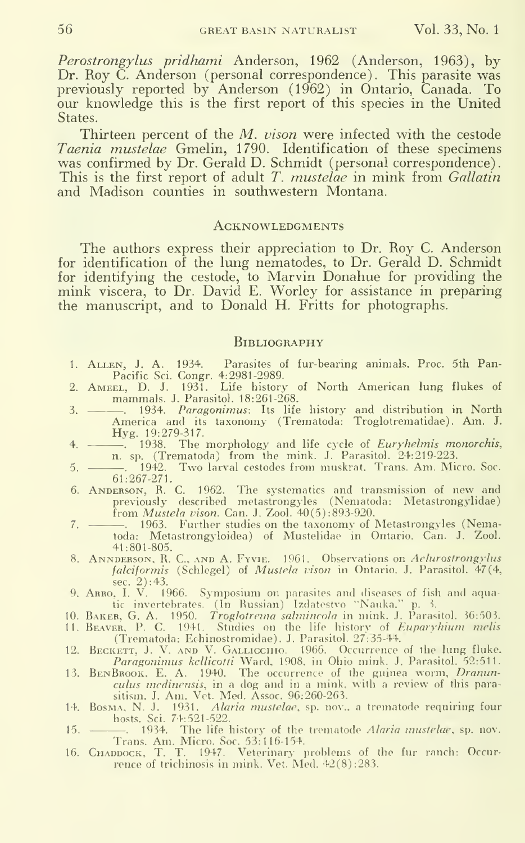Perostrongylus pridhami Anderson, 1962 (Anderson, 1963), by Dr. Roy C. Anderson (personal correspondence). This parasite was previously reported by Anderson (1962) in Ontario, Canada. To our knowledge this is the first report of this species in the United States.

Thirteen percent of the M. vison were infected with the cestode Taenia mustelae Gmelin, 1790. Identification of these specimens was confirmed by Dr. Gerald D. Schmidt (personal correspondence). This is the first report of adult T. *mustelae* in mink from *Gallatin* and Madison counties in southwestern Montana.

#### ACKNOWLEDGMENTS

The authors express their appreciation to Dr. Roy C. Anderson for identification of the lung nematodes, to Dr. Gerald D. Schmidt for identifying the cestode, to Marvin Donahue for providing the mink viscera, to Dr. David E. Worley for assistance in preparing the manuscript, and to Donald H. Fritts for photographs.

#### **BIBLIOGRAPHY**

- 1. Allen, J. A. 1934. Parasites of fur-bearing animals. Proc. 5th Pan-
- Pacific Sci. Congr. 4:2981-2989. 2. Ameel, D. J. 1931. Life history of North American lung flukes of
- mammals. J.Parasitol. 18:261-268. 3. . 1934. Paragonimus: Its life history and distribution in North America and its taxonomy (Trematoda: Troglotrematidae). Am. J.
- Hyg. 19:279-317.<br>4. ————. 1938. The morphology and life cycle of *Euryhelmis monorchis*, n. sp. (Trematoda) from the mink. J. Parasitol. 24:219-223.
- 5. . 1942. Two larval cestodes from muskrat. Trans. Am. Micro. See. 61:267-271.
- 6. Anderson, R. C. 1962. The systematics and transmission of new and previously described metastrongyles (Nematoda: Metastrongylidae) from Mustela vison. Can. J. Zool. 40(5) :893-920.
- 7. 1963. Further studies on the taxonomy of Metastrongyles (Nematoda: Metastrongyloidea) of Mustelidae in Ontario. Can. J. Zool. 41:801-805.
- 8. Annderson, R. C, and A. Fyvie. 1961. Observations on Aelurostrongylus falciformis (Schlegel) of Mustela vison in Ontario. J. Parasitol. 47(4,
- sec. 2): 43. 9. Arro, I. V. 1966. Symposium on parasites and diseases of fish and aquatic invertebrates. (In Russian) Izdatestvo ''Nauka.'' p. 3. – –
- 
- 10. Baker, G. A. 1950.  *Troglotrema salmincola* in mink. J. Parasitol. 36:503.<br>11. Beaver, -P. C. 1941. Studies on the life history of *Euparyhium melis* -(Trematoda: Echinostromidae). J. Parasitol. 27:35-44.
- 12. Beckett, J. V. and V. Gallicchio. 1966. Occurrence of the lung fluke,
- *Paragonimus kellicotti Ward, 1908, in Ohio mink. J. Parasitol. 52:511.*<br>13. BENBROOK, E. A. 1940. The occurrence of the guinea worm, *Dranunculus medinensis*, in a dog and in a mink, with a review of this parasitism. J. A
- 14. Bosma, N. J. 1931. Alaria mustelae, sp. nov.. a trematode requiring four hosts. Sci. 74:521-522.
- 15. ———, 1934. The life history of the trematode *Alaria mustelae*, sp. nov.<br>Trans. Am. Micro. Soc. 53:116-154.<br>16. Силороск, T. T. 1947. Veterinary problems of the fur ranch: Occurrence of trichinosis in mink. Vet. Med.
-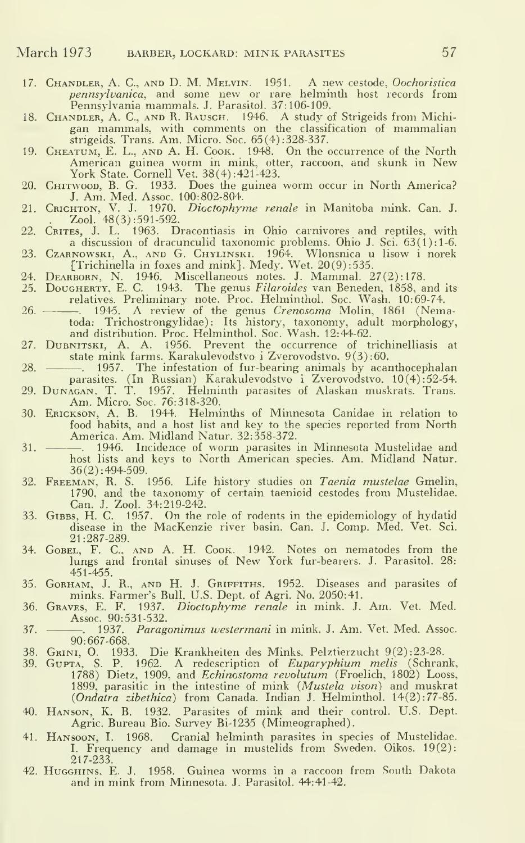- 17. Chandler, A. C, and D. M. Melvin. 1951. A new cestode, Oochoristica pennsylvanica, and some new or rare helminth host records from<br>Pennsylvania mammals J. Parasitol. 37:106-109.
- 
- Pennsylvania mammals. J. Parasitol. 37:106-109.<br>
18. CHANDLER, A. C., AND R. RAUSCH. 1946. A study of Strigeids from Michigan mammals, with comments on the classification of mammalian strigeids. Trans. Am. Micro. Soc. 65(4
- 20. Chitwood, B. G. 1933. Does the guinea worm occur in North America? J. Am. Med. Assoc. 100:802-804.
- 21. Crichton, V. J. 1970. *Dioctophyme renale* in Manitoba mink. Can. J.  $\Delta$   $\text{Lool. } 48(3):591-592.$
- 22. CRITES, J. L. 1963. Dracontiasis in Ohio carnivores and reptiles, with a discussion of dracunculid taxonomic problems. Ohio J. Sci. 63(1):1-6.
- 23. Czarnowski, A., and G. Chylinski. 1964. Wlonsnica u lisow <sup>i</sup> norek
- [Trichinella in foxes and mink}. Medy. Wet. 20(9) :535. 24. Dearborn, N. 1946. Miscellaneous notes. J. Mammal. 27 (2): 178.
- 25. Dougherty, E. C. 1943. The genus *Filaroides* van Beneden, 1858, and its relatives. Preliminary note. Proc. Helminthol. Soc. Wash. 10:69-74.
- 26. . 1945. A review of the genus *Crenosoma* Molin, 1861 (Nematoda: Trichostrongylidae): Its history, taxonomy, adult morphology, and distribution. Proc. Helminthol. Soc. Wash. 12:44-62.
- 27. DuBNITSKI, A. A. 1956. Prevent the occurrence of trichinelliasis at state mink farms. Karakulevodstvo i Zverovodstvo.  $9(3):60$ .
- 28. <sup>1957</sup>. The infestation of fur-bearing animals by acanthocephalan
- parasites. (In Russian) Karakulevodstvo i Zverovodstvo. 10(4):52-54.<br>29. DuNAGAN, T. T. 1957. Helminth parasites of Alaskan muskrats. Trans.<br>Am. Micro. Soc. 76:318-320.
- 30. Erickson, a. B. 1944. Helminths of Minnesota Canidae in relation to food habits, and a host list and key to the species reported from North America. Am. Midland Natur. 32:358-372.
- 31. . 1946. Incidence of worm parasites in Minnesota Mustelidae and host lists and keys to North American species. Am. Midland Natur.
- 36(2): 494-509. 32. Freeman, R. S. 1956. Life history studies on Taenia mustelae Gmelin,
- 1790, and the taxonomy of certain taenioid cestodes from Mustelidae.<br>Can. J. Zool. 34:219-242.<br>33. G1BBs, H. C. 1957. On the role of rodents in the epidemiology of hydatid<br>disease in the MacKenzie river basin. Can. J. Comp 21:287-289.
- 34. Gobel, F. C. and a. H. Cook. 1942. Notes on nematodes from the lungs and frontal sinuses of New York fur-bearers. J. Parasitol. 28: 451-455.
- 35. GoRHAM, J. R., AND H. J. GRIFFITHS. 1952. Diseascs and parasites of minks. Farmer's Bull. U.S. Dept. of Agri. No. 2050:41.
- 36. Graves, E. F. 1937. Dioctophyme renale in mink. J. Am. Vet. Med. Assoc. 90:531-532.
- 37.  $\frac{1}{90.667.668}$  Paragonimus westermani in mink. J. Am. Vet. Med. Assoc.
- 
- 90:667-668.<br>
38. GRINI, O. 1933. Die Krankheiten des Minks. Pelztierzucht 9(2):23-28.<br>
39. GUPTA, S. P. 1962. A redescription of *Euparyphium melis* (Schrank, 1788) Dietz, 1909, and *Echinostoma revolutum* (Froelich, 1802 (Ondatra zibethica) from Canada. Indian J. Helminthol. 14(2):77-85.
- 40. Hanson. K. B. 1932. Parasites of mink and their control. U.S. Dept. Agric. Bureau Bio. Survey Bi-1235 (Mimeographed).
- 41. Hansoon, I. 1968. Cranial helminth parasites in species of Mustelidae. I. Frequency and damage in mustelids from Sweden. Oikos. 19(2): 217-233.
- 42. Hugghins, E. J. 1958. Guinea worms in <sup>a</sup> raccoon from South Dakota and in mink from Minnesota. J. Parasitol. 44:41-42.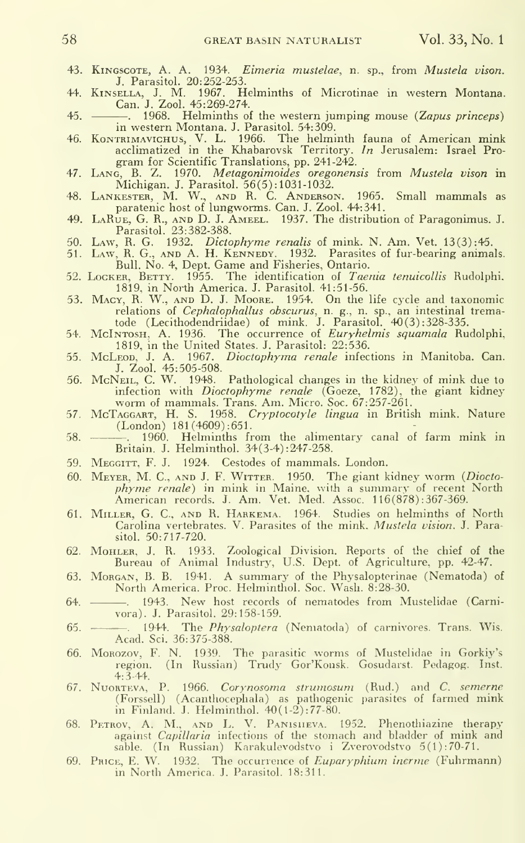- 43. KiNGScoTE, A. A. 1934. Eimeria mustelae, n. sp., from Mustela vison. J. Parasitol. 20:252-253.
- 44. KiNSELLA, J. M. 1967. Helminths of Microtinae in western Montana. Can. J. Zool. 45:269-274.
- 45. . . . 1968. Helminths of the western jumping mouse (Zapus princeps) in western Montana. J. Parasitol. 54:309.
- 46. Комтяимачисниз, V. L. 1966. The helminth fauna of American mink<br>acclimatized in the Khabarovsk Territory. In Jerusalem: Israel Program for Scientific Translations, pp. 241-242.
- 47. Lang, B. Z. 1970. Metagonimoides oregonensis from Mustela vison in
- Michigan. J. Parasitol. 56(5): 1031-1032. 48. Lankester, M. W., and R. C. Anderson. 1965. Small mammals as paratenic host of lungworms. Can. J. Zool. 44:341.
- 49. LaRue, G. R., and D. J. Ameel. 1937. The distribution of Paragonimus. J.<br>Parasitol. 23:382-388.
- Parasitol. 23:382-388.<br>50. Law, R. G. 1932. *Dictophyme renalis* of mink. N. Am. Vet. 13(3):45.
- 51. LAW, R. G., AND A. H. KENNEDY. 1932. Parasites of fur-bearing animals.<br>Bull. No. 4, Dept. Game and Fisheries, Ontario.<br>52. Locker, Berry. 1955. The identification of *Taenia tenuicollis* Rudolphi.<br>1819, in North Americ
- 
- 53. Macy, R. W., and D. J. Moore. 1954. On the life cycle and taxonomic relations of *Cephalophallus obscurus*, n. g., n. sp., an intestinal trematode (Lecithodendriidae) of mink. J. Parasitol. 40(3) : 328-335.
- 54. McINTOSH, A. 1936. The occurrence of *Euryhelmis squamala* Rudolphi, 1819, in the United States. J. Parasitol: 22:536.
- 55. McLEOD, J. A. 1967. Dioctophyma renale infections in Manitoba. Can. J. Zool. 45:505-508.
- 56. McNeIL, C. W. 1948. Pathological changes in the kidney of mink due to infection with *Dioctophyme renale* (Goeze, 1782), the giant kidney worm of mammals. Trans. Am. Micro. Soc. 67:257-261.
- 57. McTAGGART, H. S. 1958. Cryptocotyle lingua in British mink. Nature (London)  $181(4609):651$ .
- (London) 181 (4609) :651.<br>58. . . . . . . . . . 1960. Helminths from the alimentary canal of farm mink in Britain. J. Helminthol. 34(3-4) :247-258.
- 59. MEGGITT, F. J. 1924. Cestodes of mammals. London.
- 60. Meyer, M. C, and J.F. Witter. 1950. The giant kidney worm {Diocto*phyme renale*) in mink in Maine, with a summary of recent North<br>American records. J. Am. Vet. Med. Assoc. 116(878):367-369.
- 61. Miller, G. C, and R. Harkema. 1964. Studies on helminths of North Carolina vertebrates. V. Parasites of the mink, Mustela vision. J. Parasitol. 50:717-720.
- 62. Mohler, J. R. 1933. Zoological Division. Reports of the chief of the Bureau of Animal Industry, U.S. Dept. of Agriculture, pp. 42-47.
- 63. Morgan, B. B. 1941. A summary of the Physalopterinae (Nematoda) of North America. Proc. Helminthol. Soc. Wash. 8:28-30.
- 64. . 1943. New host records of nematodes from Mustelidae (Carnivora). J. Parasitol. 29:158-159.
- 65. 1944. The *Physaloptera* (Nematoda) of carnivores. Trans. Wis. Acad. Sci. 36:375-388.
- 66. MoRozov, F. N. 1939. The parasitic worms of Mustelidae in Gorkiy's region. (In Russian) Trudy Gor'Kousk. Gosudarst. Pedagog. Inst. 4:3-44.
- 67. NUORTEVA, P. 1966. Corynosoma strumosum (Rud.) and C. semerne (Forssell) (Acanthocephala) as pathogenic parasites of farmed mink in Finland. J. Helminthol. 40(1-2): 77-80.
- 68. PETROV, A. M., AND L. V. PANISHEVA. 1952. Phenothiazine therapy<br>against *Capillaria* infections of the stomach and bladder of mink and sable. (In Russian) Karakulevodstvo <sup>i</sup> Zverovodstvo 5(1): 70-71.
- 69. PRICE, E. W. 1932. The occurrence of *Euparyphium inerme* (Fuhrmann) in North America. J. Parasitol. 18:311.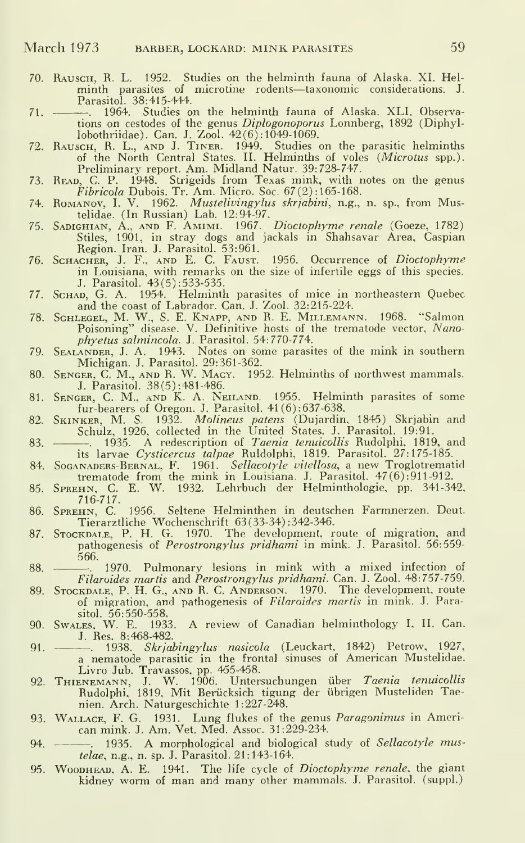- 70. Rausch, R. L. 1952. Studies on the helminth fauna of Alaska. XI. Hel minth parasites of microtine rodents—taxonomic considerations. J. Parasitol. 38:415-444.
- 71. . 1964. Studies on the helminth fauna of Alaska. XLI. Observa-
- tions on cestodes of the genus Diplogonoporus Lonnberg, 1892 (Diphyl-<br>lobothriddee). Can. J. Zool. 42(6):1049-1069.<br>Then the parasitic helminths<br>of the North Central States. II. Helminths of voles (Microtus spp.).<br>Prelimin
- 73. Reap, C. P. 1948. Strigeids from Texas mink, with notes on the genus  $Fibricola$  Dubois. Tr. Am. Micro. Soc.  $67(2):165-168$ .
- 74. Romanov, I.V. 1962. Mustelivingylus skrjabini, n.g., n. sp., from Mus-telidae. (In Russian) Lab. 12:94-97.
- 75. SADIGHIAN, A., AND F. AMIMI. 1967. *Dioctophyme renale* (Goeze, 1782)<br>Stiles, 1901, in stray dogs and jackals in Shahsavar Area, Caspian
- Region. Iran. J. Parasitol. 53:961.<br>76. Sснаснев, J. F., амр Е. С. Fаusт. 1956. Occurrence of *Dioctophyme* in Louisiana, with remarks on the size of infertile eggs of this species. J. Parasitol. 43(5) : 533-535.
- n. ScHAD, G. A. 1954. Helminth parasites of mice in northeastern Quebec and the coast of Labrador. Can. J. Zool. 32:215-224.
- 78. ScHLEGEL, M. W., S. E. Knapp, AND R. E. Millemann. 1968. "Salmon Poisoning" disease. V. Definitive hosts of the trematode vector, Nanophyetus salmincola. J. Parasitol. 54:770-774.
- 79. Sealander, J. A. 1943. Notes on some parasites of the mink in southern Michigan. J. Parasitol. 29:361-362.
- 80. Sender, C. M., and R. W. Macy. 1952. Helminths of northwest mammals. J. Parasitol. 38(5) : 481 -486.
- 81. SENGER, C. M., AND K. A. NEILAND. 1955. Helminth parasites of some fur-bearers of Oregon. J. Parasitol. 41(6):637-638.
- 82. SKINKER, M. S. 1932. *Molineus patens* (Dujardin, 1845) Skrjabin and<br>Schulz, 1926, collected in the United States. J. Parasitol. 19:91.
- 83. . . 1935. A redescription of Taenia tenuicollis Rudolphi, 1819, and
- its larvae *Cysticercus talpae* Ruldolphi, 1819. Parasitol. 27:175-185.<br>84. Soganapers-Bernal, F. 1961. *Sellacotyle vitellosa,* a new Troglotrematid
- trematode from the mink in Louisiana. J. Parasitol. 47(б):911-912.<br>85. Sprенм, C. E. W. 1932. Lehrbuch der Helminthologie, pp. 341-342. 716-717.
- 86. SPREHN, C. 1956. Seltene Helminthen in deutschen Farmnerzen. Deut. Tierarztliche Wochenschrift 63(33-34) : 342-346.
- 87. Sтоскрлье, P. H. G. 1970. The development, route of migration, and<br>pathogenesis of *Perostrongylus pridhami* in mink. J. Parasitol. 56:559-566.
- 88. . 1970. Pulmonary lesions in mink with <sup>a</sup> mixed infection of Filaroides martis and Perostrongylus pridhami. Can. J. Zool. 48:757-759.
- 89. STOCKDALE, P. H. G., AND R. C. ANDERSON. 1970. The development, route of migration, and pathogenesis of Filaroides martis in mink. J. Para-
- sitol. 56:550-558. 90. Swales, W. E. 1933. A review of Canadian helminthology I, II. Can. J. Res. 8:468-482.
- 91. ———. 1938. *Skrjabingylus nasicola* (Leuckart, 1842) Petrow, 1927,<br>a nematode parasitic in the frontal sinuses of American Mustelidae. Livro Jub. Travassos, pp. 455-458.
- 92. THIENEMANN, J. W. 1906. Untersuchungen über *Taenia tenuicollis*<br>Rudolphi, 1819, Mit Berücksich tigung der übrigen Musteliden Taenien. Arch. Naturgeschichte 1:227-248.
- 93. WALLACE, F. G. 1931. Lung flukes of the genus *Paragonimus* in American mink. J. Am. Vet. Med. Assoc. 31:229-234.
- 94. . 1935. A morphological and biological study of Sellacotyle mustelae, n.g., n. sp. J. Parasitol. 21:143-164.
- 95. Woodhead, a. E. 1941. The life cycle of Dioctophyme renale, the giant kidney worm of man and many other mammals. J.Parasitol. (suppl.)